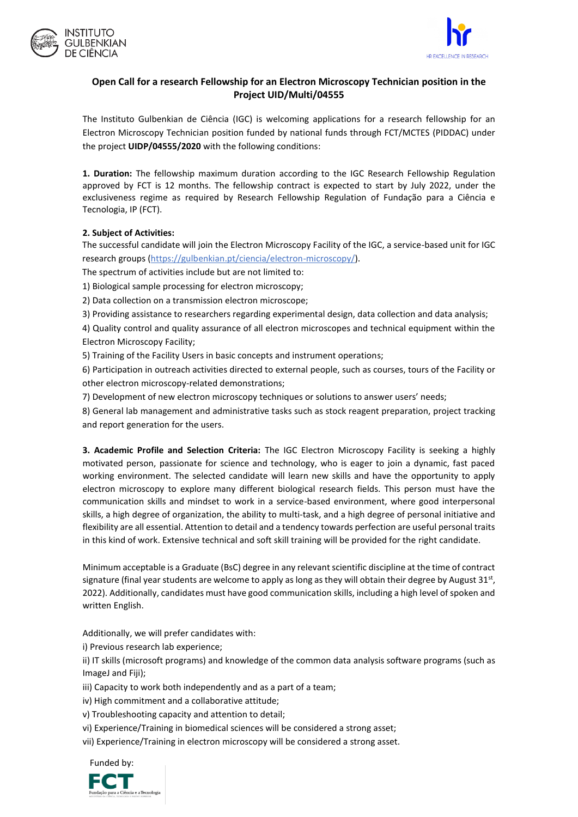



## **Open Call for a research Fellowship for an Electron Microscopy Technician position in the Project UID/Multi/04555**

The Instituto Gulbenkian de Ciência (IGC) is welcoming applications for a research fellowship for an Electron Microscopy Technician position funded by national funds through FCT/MCTES (PIDDAC) under the project **UIDP/04555/2020** with the following conditions:

**1. Duration:** The fellowship maximum duration according to the IGC Research Fellowship Regulation approved by FCT is 12 months. The fellowship contract is expected to start by July 2022, under the exclusiveness regime as required by Research Fellowship Regulation of Fundação para a Ciência e Tecnologia, IP (FCT).

## **2. Subject of Activities:**

The successful candidate will join the Electron Microscopy Facility of the IGC, a service-based unit for IGC research group[s \(](http://facilities.igc.gulbenkian.pt/genomics/genomics_start.php)<https://gulbenkian.pt/ciencia/electron-microscopy/>[\).](http://facilities.igc.gulbenkian.pt/genomics/genomics_start.php)

The spectrum of activities include but are not limited to:

1) Biological sample processing for electron microscopy;

2) Data collection on a transmission electron microscope;

3) Providing assistance to researchers regarding experimental design, data collection and data analysis;

4) Quality control and quality assurance of all electron microscopes and technical equipment within the Electron Microscopy Facility;

5) Training of the Facility Users in basic concepts and instrument operations;

6) Participation in outreach activities directed to external people, such as courses, tours of the Facility or other electron microscopy-related demonstrations;

7) Development of new electron microscopy techniques or solutions to answer users' needs;

8) General lab management and administrative tasks such as stock reagent preparation, project tracking and report generation for the users.

**3. Academic Profile and Selection Criteria:** The IGC Electron Microscopy Facility is seeking a highly motivated person, passionate for science and technology, who is eager to join a dynamic, fast paced working environment. The selected candidate will learn new skills and have the opportunity to apply electron microscopy to explore many different biological research fields. This person must have the communication skills and mindset to work in a service-based environment, where good interpersonal skills, a high degree of organization, the ability to multi-task, and a high degree of personal initiative and flexibility are all essential. Attention to detail and a tendency towards perfection are useful personal traits in this kind of work. Extensive technical and soft skill training will be provided for the right candidate.

Minimum acceptable is a Graduate (BsC) degree in any relevant scientific discipline at the time of contract signature (final year students are welcome to apply as long as they will obtain their degree by August 31st, 2022). Additionally, candidates must have good communication skills, including a high level of spoken and written English.

Additionally, we will prefer candidates with:

i) Previous research lab experience;

ii) IT skills (microsoft programs) and knowledge of the common data analysis software programs (such as ImageJ and Fiji);

iii) Capacity to work both independently and as a part of a team;

iv) High commitment and a collaborative attitude;

v) Troubleshooting capacity and attention to detail;

vi) Experience/Training in biomedical sciences will be considered a strong asset;

vii) Experience/Training in electron microscopy will be considered a strong asset.